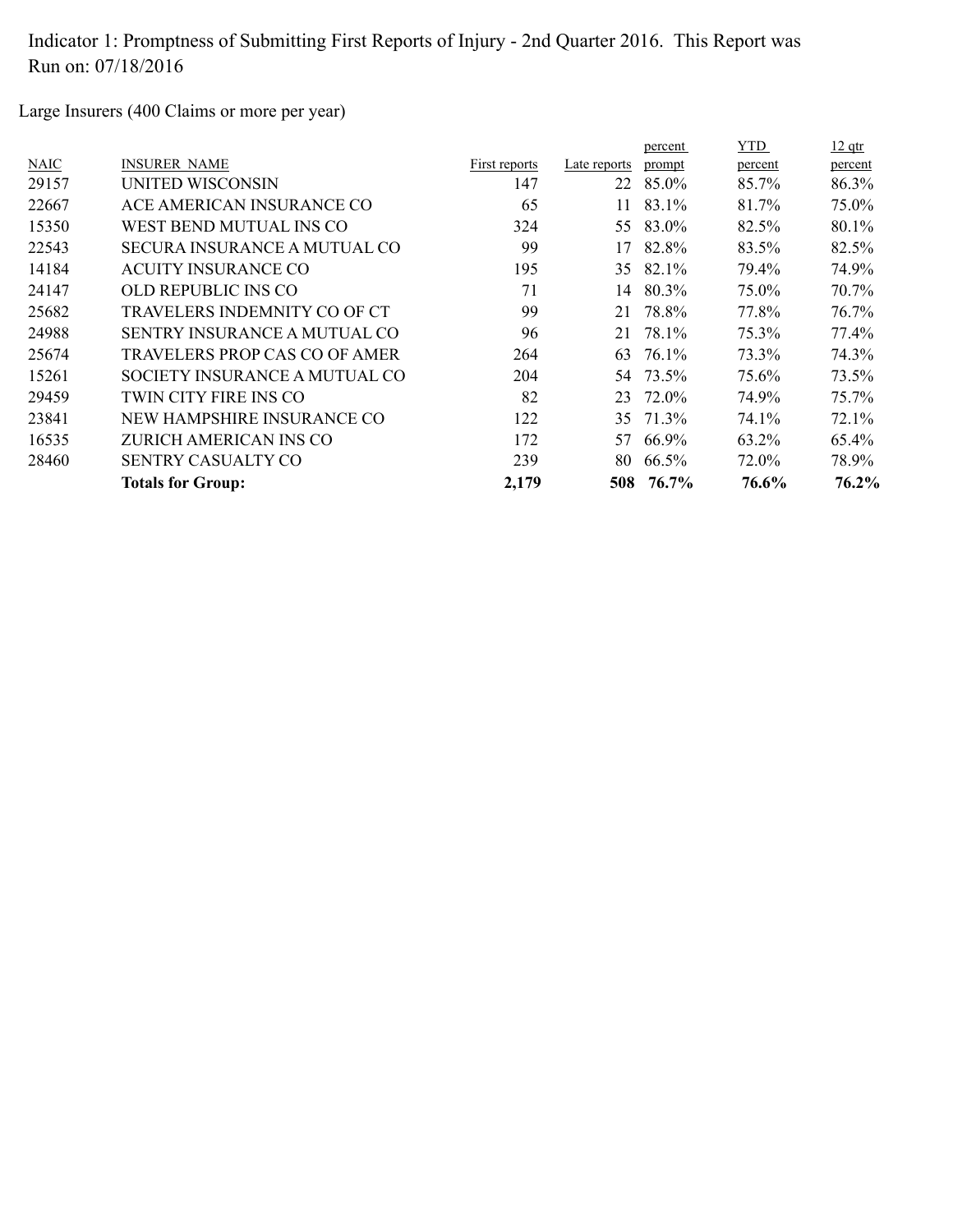Large Insurers (400 Claims or more per year)

|                                     |               |              | percent | <b>YTD</b>      | $12$ qtr |
|-------------------------------------|---------------|--------------|---------|-----------------|----------|
| <b>INSURER NAME</b>                 | First reports | Late reports | prompt  | percent         | percent  |
| UNITED WISCONSIN                    | 147           | 22           | 85.0%   | 85.7%           | 86.3%    |
| ACE AMERICAN INSURANCE CO           | 65            | 11           | 83.1%   | 81.7%           | 75.0%    |
| WEST BEND MUTUAL INS CO             | 324           | 55           | 83.0%   | 82.5%           | 80.1%    |
| <b>SECURA INSURANCE A MUTUAL CO</b> | 99            | 17           | 82.8%   | 83.5%           | 82.5%    |
| <b>ACUITY INSURANCE CO</b>          | 195           | 35           | 82.1%   | 79.4%           | 74.9%    |
| OLD REPUBLIC INS CO                 | 71            | 14           | 80.3%   | 75.0%           | 70.7%    |
| TRAVELERS INDEMNITY CO OF CT        | 99            | 21           | 78.8%   | 77.8%           | 76.7%    |
| SENTRY INSURANCE A MUTUAL CO        | 96            | 21           | 78.1%   | 75.3%           | 77.4%    |
| TRAVELERS PROP CAS CO OF AMER       | 264           | 63           | 76.1%   | 73.3%           | 74.3%    |
| SOCIETY INSURANCE A MUTUAL CO       | 204           |              |         | 75.6%           | 73.5%    |
| TWIN CITY FIRE INS CO               | 82            | 23           | 72.0%   | 74.9%           | 75.7%    |
| NEW HAMPSHIRE INSURANCE CO          | 122           | 35           | 71.3%   | 74.1%           | 72.1%    |
| ZURICH AMERICAN INS CO              | 172           | 57           | 66.9%   | 63.2%           | 65.4%    |
| <b>SENTRY CASUALTY CO</b>           | 239           | 80           | 66.5%   | 72.0%           | 78.9%    |
| <b>Totals for Group:</b>            | 2,179         |              | 76.7%   | 76.6%           | 76.2%    |
|                                     |               |              |         | 54 73.5%<br>508 |          |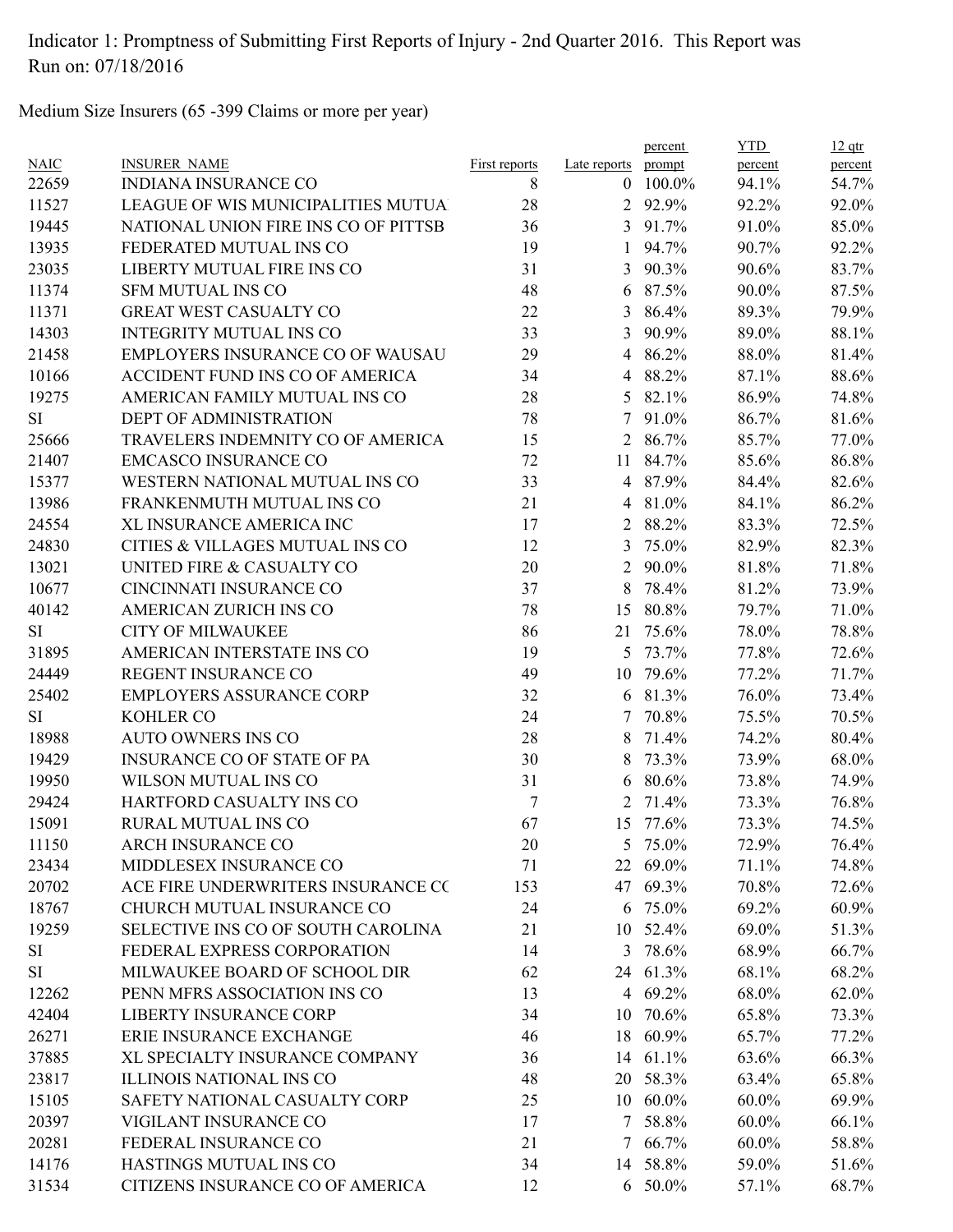Medium Size Insurers (65 -399 Claims or more per year)

|             |                                         |                      |                | percent  | <b>YTD</b> | $12$ qtr |
|-------------|-----------------------------------------|----------------------|----------------|----------|------------|----------|
| <b>NAIC</b> | <b>INSURER NAME</b>                     | <b>First reports</b> | Late reports   | prompt   | percent    | percent  |
| 22659       | <b>INDIANA INSURANCE CO</b>             | 8                    | $\theta$       | 100.0%   | 94.1%      | 54.7%    |
| 11527       | LEAGUE OF WIS MUNICIPALITIES MUTUA      | 28                   | 2              | 92.9%    | 92.2%      | 92.0%    |
| 19445       | NATIONAL UNION FIRE INS CO OF PITTSB    | 36                   | 3              | 91.7%    | 91.0%      | 85.0%    |
| 13935       | FEDERATED MUTUAL INS CO                 | 19                   | 1              | 94.7%    | 90.7%      | 92.2%    |
| 23035       | LIBERTY MUTUAL FIRE INS CO              | 31                   | $\overline{3}$ | 90.3%    | 90.6%      | 83.7%    |
| 11374       | <b>SFM MUTUAL INS CO</b>                | 48                   | 6              | 87.5%    | 90.0%      | 87.5%    |
| 11371       | <b>GREAT WEST CASUALTY CO</b>           | 22                   | 3              | 86.4%    | 89.3%      | 79.9%    |
| 14303       | <b>INTEGRITY MUTUAL INS CO</b>          | 33                   | 3              | 90.9%    | 89.0%      | 88.1%    |
| 21458       | <b>EMPLOYERS INSURANCE CO OF WAUSAU</b> | 29                   | $\overline{4}$ | 86.2%    | 88.0%      | 81.4%    |
| 10166       | ACCIDENT FUND INS CO OF AMERICA         | 34                   | 4              | 88.2%    | 87.1%      | 88.6%    |
| 19275       | AMERICAN FAMILY MUTUAL INS CO           | 28                   | 5              | 82.1%    | 86.9%      | 74.8%    |
| <b>SI</b>   | DEPT OF ADMINISTRATION                  | 78                   | 7              | 91.0%    | 86.7%      | 81.6%    |
| 25666       | TRAVELERS INDEMNITY CO OF AMERICA       | 15                   | 2              | 86.7%    | 85.7%      | 77.0%    |
| 21407       | <b>EMCASCO INSURANCE CO</b>             | 72                   | 11             | 84.7%    | 85.6%      | 86.8%    |
| 15377       | WESTERN NATIONAL MUTUAL INS CO          | 33                   | $\overline{4}$ | 87.9%    | 84.4%      | 82.6%    |
| 13986       | FRANKENMUTH MUTUAL INS CO               | 21                   | 4              | 81.0%    | 84.1%      | 86.2%    |
| 24554       | XL INSURANCE AMERICA INC                | 17                   | 2              | 88.2%    | 83.3%      | 72.5%    |
| 24830       | CITIES & VILLAGES MUTUAL INS CO         | 12                   | 3              | 75.0%    | 82.9%      | 82.3%    |
| 13021       | UNITED FIRE & CASUALTY CO               | 20                   | $\overline{2}$ | 90.0%    | 81.8%      | 71.8%    |
| 10677       | CINCINNATI INSURANCE CO                 | 37                   | 8              | 78.4%    | 81.2%      | 73.9%    |
| 40142       | AMERICAN ZURICH INS CO                  | 78                   | 15             | 80.8%    | 79.7%      | 71.0%    |
| <b>SI</b>   | <b>CITY OF MILWAUKEE</b>                | 86                   | 21             | 75.6%    | 78.0%      | 78.8%    |
| 31895       | AMERICAN INTERSTATE INS CO              | 19                   | 5 <sup>5</sup> | 73.7%    | 77.8%      | 72.6%    |
| 24449       | REGENT INSURANCE CO                     | 49                   | 10             | 79.6%    | 77.2%      | 71.7%    |
| 25402       | <b>EMPLOYERS ASSURANCE CORP</b>         | 32                   |                | 6 81.3%  | 76.0%      | 73.4%    |
| <b>SI</b>   | <b>KOHLER CO</b>                        | 24                   | 7              | 70.8%    | 75.5%      | 70.5%    |
| 18988       | <b>AUTO OWNERS INS CO</b>               | 28                   | 8              | 71.4%    | 74.2%      | 80.4%    |
| 19429       | <b>INSURANCE CO OF STATE OF PA</b>      | 30                   | 8              | 73.3%    | 73.9%      | 68.0%    |
| 19950       | WILSON MUTUAL INS CO                    | 31                   | 6              | 80.6%    | 73.8%      | 74.9%    |
| 29424       | HARTFORD CASUALTY INS CO                | 7                    | 2              | 71.4%    | 73.3%      | 76.8%    |
| 15091       | <b>RURAL MUTUAL INS CO</b>              | 67                   | 15             | 77.6%    | 73.3%      | 74.5%    |
| 11150       | ARCH INSURANCE CO                       | 20                   |                | 5 75.0%  | 72.9%      | 76.4%    |
| 23434       | MIDDLESEX INSURANCE CO                  | 71                   |                | 22 69.0% | 71.1%      | 74.8%    |
| 20702       | ACE FIRE UNDERWRITERS INSURANCE CO      | 153                  |                | 47 69.3% | 70.8%      | 72.6%    |
| 18767       | CHURCH MUTUAL INSURANCE CO              | 24                   |                | 6 75.0%  | 69.2%      | 60.9%    |
| 19259       | SELECTIVE INS CO OF SOUTH CAROLINA      | 21                   |                | 10 52.4% | 69.0%      | 51.3%    |
| <b>SI</b>   | FEDERAL EXPRESS CORPORATION             | 14                   |                | 3 78.6%  | 68.9%      | 66.7%    |
| SI          | MILWAUKEE BOARD OF SCHOOL DIR           | 62                   |                | 24 61.3% | 68.1%      | 68.2%    |
| 12262       | PENN MFRS ASSOCIATION INS CO            | 13                   |                | 4 69.2%  | 68.0%      | 62.0%    |
| 42404       | <b>LIBERTY INSURANCE CORP</b>           | 34                   | 10             | 70.6%    | 65.8%      | 73.3%    |
| 26271       | ERIE INSURANCE EXCHANGE                 | 46                   | 18             | 60.9%    | 65.7%      | 77.2%    |
| 37885       | XL SPECIALTY INSURANCE COMPANY          | 36                   |                | 14 61.1% | 63.6%      | 66.3%    |
| 23817       | ILLINOIS NATIONAL INS CO                | 48                   |                | 20 58.3% | 63.4%      | 65.8%    |
| 15105       | SAFETY NATIONAL CASUALTY CORP           | 25                   |                | 10 60.0% | $60.0\%$   | 69.9%    |
| 20397       | VIGILANT INSURANCE CO                   | 17                   | 7              | 58.8%    | $60.0\%$   | 66.1%    |
| 20281       | FEDERAL INSURANCE CO                    | 21                   |                | 7 66.7%  | $60.0\%$   | 58.8%    |
| 14176       | HASTINGS MUTUAL INS CO                  | 34                   |                | 14 58.8% | 59.0%      | 51.6%    |
| 31534       | CITIZENS INSURANCE CO OF AMERICA        | 12                   |                | 6 50.0%  | 57.1%      | 68.7%    |
|             |                                         |                      |                |          |            |          |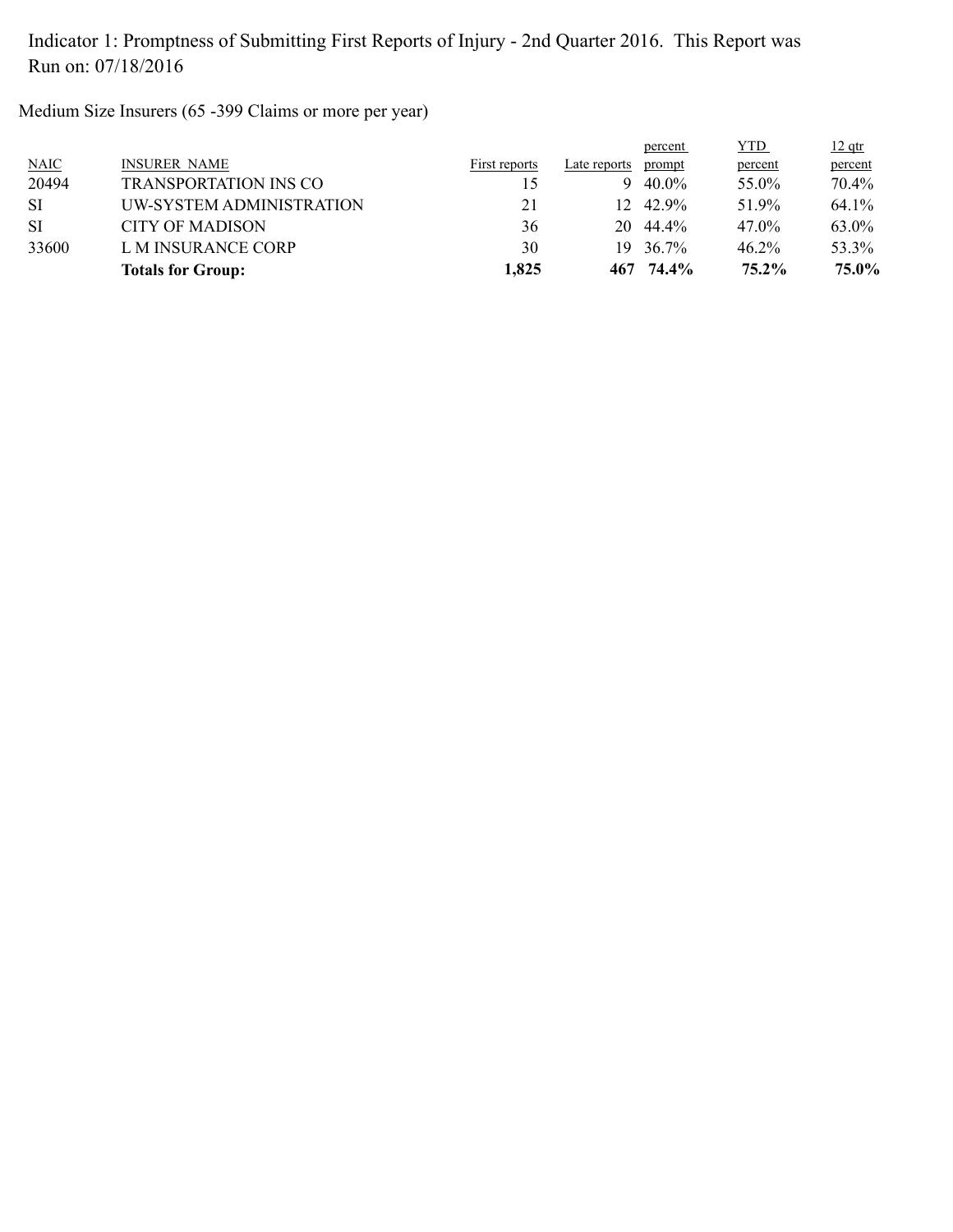Medium Size Insurers (65 -399 Claims or more per year)

|             | <b>Totals for Group:</b>     | 1,825         |              | 467 74.4% | $75.2\%$   | 75.0%    |
|-------------|------------------------------|---------------|--------------|-----------|------------|----------|
| 33600       | L M INSURANCE CORP           | 30            | 19.          | 36.7%     | $46.2\%$   | 53.3%    |
| <b>SI</b>   | <b>CITY OF MADISON</b>       | 36            | 20           | 44.4%     | 47.0%      | 63.0%    |
| <b>SI</b>   | UW-SYSTEM ADMINISTRATION     | 21            |              | 12 42.9%  | 51.9%      | 64.1%    |
| 20494       | <b>TRANSPORTATION INS CO</b> |               | 9            | 40.0%     | 55.0%      | 70.4%    |
| <b>NAIC</b> | <b>INSURER NAME</b>          | First reports | Late reports | prompt    | percent    | percent  |
|             |                              |               |              | percent   | <b>YTD</b> | $12$ qtr |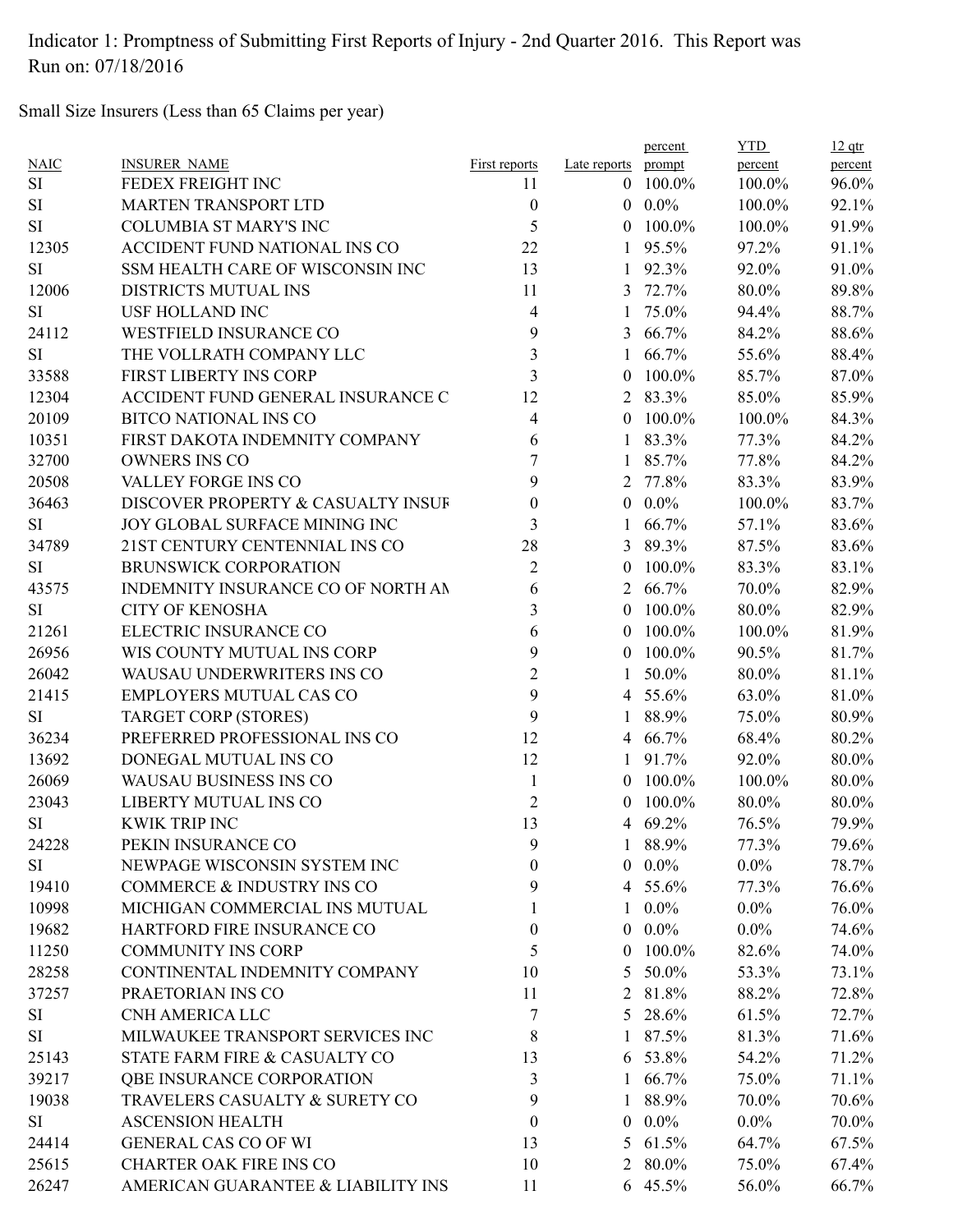Small Size Insurers (Less than 65 Claims per year)

|             |                                    |                         |                | percent         | <b>YTD</b> | $12$ qtr |
|-------------|------------------------------------|-------------------------|----------------|-----------------|------------|----------|
| <b>NAIC</b> | <b>INSURER NAME</b>                | First reports           | Late reports   | prompt          | percent    | percent  |
| <b>SI</b>   | FEDEX FREIGHT INC                  | 11                      | $\theta$       | 100.0%          | 100.0%     | 96.0%    |
| <b>SI</b>   | <b>MARTEN TRANSPORT LTD</b>        | $\boldsymbol{0}$        |                | $0.0\%$         | 100.0%     | 92.1%    |
| <b>SI</b>   | <b>COLUMBIA ST MARY'S INC</b>      | 5                       | $\theta$       | 100.0%          | 100.0%     | 91.9%    |
| 12305       | ACCIDENT FUND NATIONAL INS CO      | 22                      | $\mathbf{1}$   | 95.5%           | 97.2%      | 91.1%    |
| <b>SI</b>   | SSM HEALTH CARE OF WISCONSIN INC   | 13                      | 1              | 92.3%           | 92.0%      | 91.0%    |
| 12006       | DISTRICTS MUTUAL INS               | 11                      | 3              | 72.7%           | 80.0%      | 89.8%    |
| <b>SI</b>   | <b>USF HOLLAND INC</b>             | 4                       |                | 75.0%           | 94.4%      | 88.7%    |
| 24112       | WESTFIELD INSURANCE CO             | 9                       | 3              | 66.7%           | 84.2%      | 88.6%    |
| <b>SI</b>   | THE VOLLRATH COMPANY LLC           | $\overline{\mathbf{3}}$ | 1              | 66.7%           | 55.6%      | 88.4%    |
| 33588       | FIRST LIBERTY INS CORP             | 3                       | $\theta$       | 100.0%          | 85.7%      | 87.0%    |
| 12304       | ACCIDENT FUND GENERAL INSURANCE C  | 12                      | $\overline{2}$ | 83.3%           | 85.0%      | 85.9%    |
| 20109       | <b>BITCO NATIONAL INS CO</b>       | 4                       | $\theta$       | 100.0%          | 100.0%     | 84.3%    |
| 10351       | FIRST DAKOTA INDEMNITY COMPANY     | 6                       |                | 83.3%           | 77.3%      | 84.2%    |
| 32700       | <b>OWNERS INS CO</b>               | 7                       | 1              | 85.7%           | 77.8%      | 84.2%    |
| 20508       | VALLEY FORGE INS CO                | 9                       | 2              | 77.8%           | 83.3%      | 83.9%    |
| 36463       | DISCOVER PROPERTY & CASUALTY INSUF | 0                       | $\theta$       | $0.0\%$         | 100.0%     | 83.7%    |
| <b>SI</b>   | JOY GLOBAL SURFACE MINING INC      | 3                       |                | 66.7%           | 57.1%      | 83.6%    |
| 34789       | 21ST CENTURY CENTENNIAL INS CO     | 28                      | 3              | 89.3%           | 87.5%      | 83.6%    |
| <b>SI</b>   | <b>BRUNSWICK CORPORATION</b>       | $\overline{c}$          | $\theta$       | 100.0%          | 83.3%      | 83.1%    |
| 43575       | INDEMNITY INSURANCE CO OF NORTH AN | 6                       | 2              | 66.7%           | 70.0%      | 82.9%    |
| <b>SI</b>   | <b>CITY OF KENOSHA</b>             | 3                       | $\theta$       | 100.0%          | 80.0%      | 82.9%    |
| 21261       | ELECTRIC INSURANCE CO              | 6                       | $\theta$       | 100.0%          | 100.0%     | 81.9%    |
| 26956       | WIS COUNTY MUTUAL INS CORP         | 9                       | $\theta$       | 100.0%          | 90.5%      | 81.7%    |
| 26042       | WAUSAU UNDERWRITERS INS CO         | $\overline{2}$          |                | 50.0%           | 80.0%      | 81.1%    |
| 21415       | <b>EMPLOYERS MUTUAL CAS CO</b>     | 9                       |                | 4 55.6%         | 63.0%      | 81.0%    |
| <b>SI</b>   | <b>TARGET CORP (STORES)</b>        | 9                       | 1              | 88.9%           | 75.0%      | 80.9%    |
| 36234       | PREFERRED PROFESSIONAL INS CO      | 12                      | 4              | 66.7%           | 68.4%      | 80.2%    |
| 13692       | DONEGAL MUTUAL INS CO              | 12                      |                | 91.7%           | 92.0%      | 80.0%    |
| 26069       | WAUSAU BUSINESS INS CO             | 1                       | $\theta$       | 100.0%          | 100.0%     | 80.0%    |
| 23043       | LIBERTY MUTUAL INS CO              | $\overline{2}$          | $\theta$       | 100.0%          | 80.0%      | 80.0%    |
| <b>SI</b>   | <b>KWIK TRIP INC</b>               | 13                      |                | 4 69.2%         | 76.5%      | 79.9%    |
| 24228       | PEKIN INSURANCE CO                 | 9                       | $\mathbf{I}$   | 88.9%           | 77.3%      | 79.6%    |
| SI.         | NEWPAGE WISCONSIN SYSTEM INC       | 0                       |                | $0\quad 0.0\%$  | $0.0\%$    | 78.7%    |
| 19410       | COMMERCE & INDUSTRY INS CO         | 9                       |                | 4 55.6%         | 77.3%      | 76.6%    |
| 10998       | MICHIGAN COMMERCIAL INS MUTUAL     |                         |                | $1 \t0.0\%$     | $0.0\%$    | 76.0%    |
| 19682       | HARTFORD FIRE INSURANCE CO         | $\theta$                |                | $0.0\%$         | $0.0\%$    | 74.6%    |
| 11250       | <b>COMMUNITY INS CORP</b>          | 5                       |                | $0$ 100.0%      |            | 74.0%    |
|             |                                    |                         |                |                 | 82.6%      |          |
| 28258       | CONTINENTAL INDEMNITY COMPANY      | 10                      | 5.             | 50.0%           | 53.3%      | 73.1%    |
| 37257       | PRAETORIAN INS CO                  | 11                      |                | 2 81.8%         | 88.2%      | 72.8%    |
| <b>SI</b>   | CNH AMERICA LLC                    | 7                       |                | 5 28.6%         | 61.5%      | 72.7%    |
| <b>SI</b>   | MILWAUKEE TRANSPORT SERVICES INC   | 8                       |                | 1 87.5%         | 81.3%      | 71.6%    |
| 25143       | STATE FARM FIRE & CASUALTY CO      | 13                      |                | 6 53.8%         | 54.2%      | 71.2%    |
| 39217       | QBE INSURANCE CORPORATION          | 3                       |                | $1\quad 66.7\%$ | 75.0%      | 71.1%    |
| 19038       | TRAVELERS CASUALTY & SURETY CO     | 9                       |                | 1 88.9%         | 70.0%      | 70.6%    |
| SI          | <b>ASCENSION HEALTH</b>            | $\theta$                |                | $0\quad 0.0\%$  | $0.0\%$    | 70.0%    |
| 24414       | <b>GENERAL CAS CO OF WI</b>        | 13                      |                | 5 $61.5\%$      | 64.7%      | 67.5%    |
| 25615       | <b>CHARTER OAK FIRE INS CO</b>     | 10                      |                | 2 80.0%         | 75.0%      | 67.4%    |
| 26247       | AMERICAN GUARANTEE & LIABILITY INS | 11                      |                | 6 45.5%         | 56.0%      | 66.7%    |